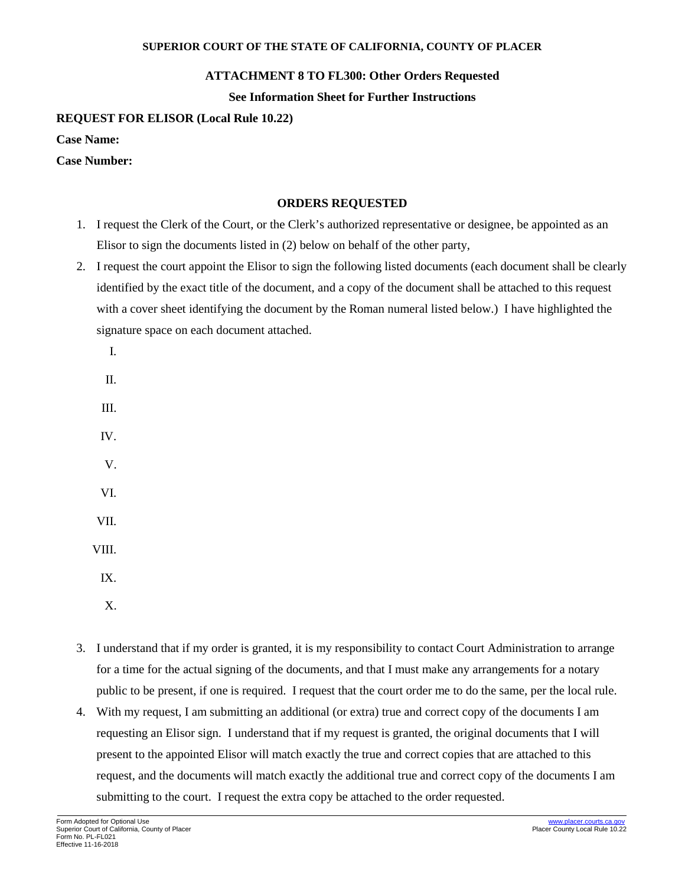#### **SUPERIOR COURT OF THE STATE OF CALIFORNIA, COUNTY OF PLACER**

## **ATTACHMENT 8 TO FL300: Other Orders Requested**

**See Information Sheet for Further Instructions**

# **REQUEST FOR ELISOR (Local Rule 10.22)**

**Case Name:** 

### **Case Number:**

### **ORDERS REQUESTED**

- 1. I request the Clerk of the Court, or the Clerk's authorized representative or designee, be appointed as an Elisor to sign the documents listed in (2) below on behalf of the other party,
- 2. I request the court appoint the Elisor to sign the following listed documents (each document shall be clearly identified by the exact title of the document, and a copy of the document shall be attached to this request with a cover sheet identifying the document by the Roman numeral listed below.) I have highlighted the signature space on each document attached.
	- I. II.
	- III. IV. V. VI. VII. VIII. IX.
		-
		- X.
- 3. I understand that if my order is granted, it is my responsibility to contact Court Administration to arrange for a time for the actual signing of the documents, and that I must make any arrangements for a notary public to be present, if one is required. I request that the court order me to do the same, per the local rule.
- 4. With my request, I am submitting an additional (or extra) true and correct copy of the documents I am requesting an Elisor sign. I understand that if my request is granted, the original documents that I will present to the appointed Elisor will match exactly the true and correct copies that are attached to this request, and the documents will match exactly the additional true and correct copy of the documents I am submitting to the court. I request the extra copy be attached to the order requested.